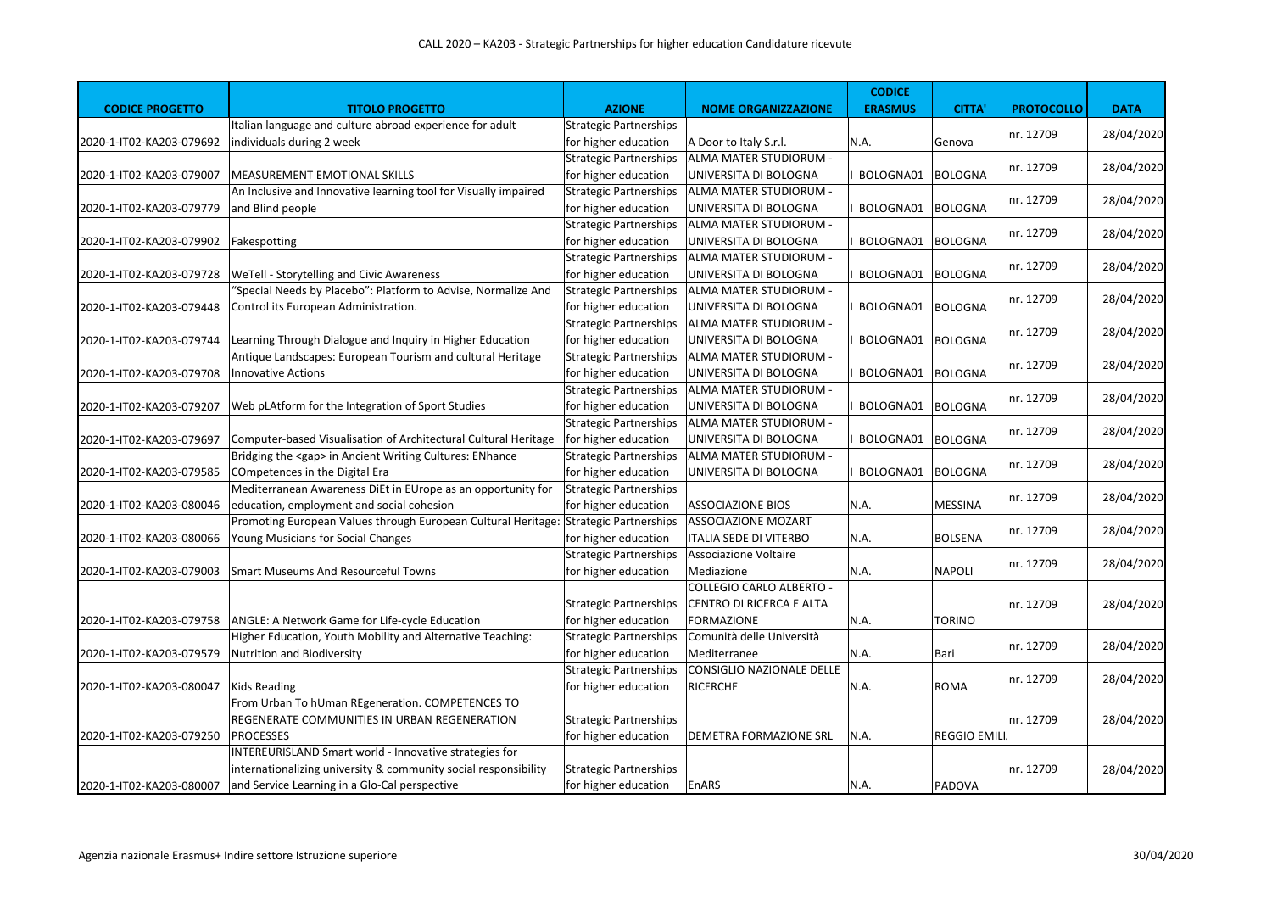|                          |                                                                 |                               |                                 | <b>CODICE</b>  |                     |                   |             |
|--------------------------|-----------------------------------------------------------------|-------------------------------|---------------------------------|----------------|---------------------|-------------------|-------------|
| <b>CODICE PROGETTO</b>   | <b>TITOLO PROGETTO</b>                                          | <b>AZIONE</b>                 | <b>NOME ORGANIZZAZIONE</b>      | <b>ERASMUS</b> | <b>CITTA'</b>       | <b>PROTOCOLLO</b> | <b>DATA</b> |
|                          | Italian language and culture abroad experience for adult        | <b>Strategic Partnerships</b> |                                 |                |                     | nr. 12709         | 28/04/2020  |
| 2020-1-IT02-KA203-079692 | individuals during 2 week                                       | for higher education          | A Door to Italy S.r.l.          | N.A.           | Genova              |                   |             |
|                          |                                                                 | <b>Strategic Partnerships</b> | ALMA MATER STUDIORUM -          |                |                     | nr. 12709         | 28/04/2020  |
| 2020-1-IT02-KA203-079007 | <b>MEASUREMENT EMOTIONAL SKILLS</b>                             | for higher education          | UNIVERSITA DI BOLOGNA           | BOLOGNA01      | <b>BOLOGNA</b>      |                   |             |
|                          | An Inclusive and Innovative learning tool for Visually impaired | <b>Strategic Partnerships</b> | ALMA MATER STUDIORUM -          |                |                     | nr. 12709         | 28/04/2020  |
| 2020-1-IT02-KA203-079779 | and Blind people                                                | for higher education          | UNIVERSITA DI BOLOGNA           | BOLOGNA01      | BOLOGNA             |                   |             |
|                          |                                                                 | <b>Strategic Partnerships</b> | ALMA MATER STUDIORUM -          |                |                     | nr. 12709         | 28/04/2020  |
| 2020-1-IT02-KA203-079902 | Fakespotting                                                    | for higher education          | UNIVERSITA DI BOLOGNA           | BOLOGNA01      | <b>BOLOGNA</b>      |                   |             |
|                          |                                                                 | <b>Strategic Partnerships</b> | ALMA MATER STUDIORUM -          |                |                     | nr. 12709         | 28/04/2020  |
| 2020-1-IT02-KA203-079728 | WeTell - Storytelling and Civic Awareness                       | for higher education          | UNIVERSITA DI BOLOGNA           | BOLOGNA01      | BOLOGNA             |                   |             |
|                          | "Special Needs by Placebo": Platform to Advise, Normalize And   | <b>Strategic Partnerships</b> | ALMA MATER STUDIORUM -          |                |                     | nr. 12709         | 28/04/2020  |
| 2020-1-IT02-KA203-079448 | Control its European Administration.                            | for higher education          | UNIVERSITA DI BOLOGNA           | BOLOGNA01      | <b>BOLOGNA</b>      |                   |             |
|                          |                                                                 | <b>Strategic Partnerships</b> | ALMA MATER STUDIORUM -          |                |                     | nr. 12709         | 28/04/2020  |
| 2020-1-IT02-KA203-079744 | Learning Through Dialogue and Inquiry in Higher Education       | for higher education          | UNIVERSITA DI BOLOGNA           | BOLOGNA01      | BOLOGNA             |                   |             |
|                          | Antique Landscapes: European Tourism and cultural Heritage      | <b>Strategic Partnerships</b> | ALMA MATER STUDIORUM -          |                |                     | nr. 12709         | 28/04/2020  |
| 2020-1-IT02-KA203-079708 | <b>Innovative Actions</b>                                       | for higher education          | UNIVERSITA DI BOLOGNA           | BOLOGNA01      | <b>BOLOGNA</b>      |                   |             |
|                          |                                                                 | <b>Strategic Partnerships</b> | ALMA MATER STUDIORUM -          |                |                     |                   |             |
| 2020-1-IT02-KA203-079207 | Web pLAtform for the Integration of Sport Studies               | for higher education          | UNIVERSITA DI BOLOGNA           | BOLOGNA01      | BOLOGNA             | nr. 12709         | 28/04/2020  |
|                          |                                                                 | <b>Strategic Partnerships</b> | ALMA MATER STUDIORUM -          |                |                     |                   |             |
| 2020-1-IT02-KA203-079697 | Computer-based Visualisation of Architectural Cultural Heritage | for higher education          | UNIVERSITA DI BOLOGNA           | BOLOGNA01      | <b>BOLOGNA</b>      | nr. 12709         | 28/04/2020  |
|                          | Bridging the <gap> in Ancient Writing Cultures: ENhance</gap>   | <b>Strategic Partnerships</b> | ALMA MATER STUDIORUM -          |                |                     |                   |             |
| 2020-1-IT02-KA203-079585 | COmpetences in the Digital Era                                  | for higher education          | UNIVERSITA DI BOLOGNA           | BOLOGNA01      | <b>BOLOGNA</b>      | nr. 12709         | 28/04/2020  |
|                          | Mediterranean Awareness DiEt in EUrope as an opportunity for    | <b>Strategic Partnerships</b> |                                 |                |                     |                   |             |
| 2020-1-IT02-KA203-080046 | education, employment and social cohesion                       | for higher education          | <b>ASSOCIAZIONE BIOS</b>        | N.A.           | <b>MESSINA</b>      | nr. 12709         | 28/04/2020  |
|                          | Promoting European Values through European Cultural Heritage:   | Strategic Partnerships        | ASSOCIAZIONE MOZART             |                |                     |                   |             |
| 2020-1-IT02-KA203-080066 | Young Musicians for Social Changes                              | for higher education          | <b>ITALIA SEDE DI VITERBO</b>   | N.A.           | <b>BOLSENA</b>      | nr. 12709         | 28/04/2020  |
|                          |                                                                 | <b>Strategic Partnerships</b> | Associazione Voltaire           |                |                     |                   |             |
| 2020-1-IT02-KA203-079003 | <b>Smart Museums And Resourceful Towns</b>                      | for higher education          | Mediazione                      | N.A.           | <b>NAPOLI</b>       | nr. 12709         | 28/04/2020  |
|                          |                                                                 |                               | <b>COLLEGIO CARLO ALBERTO -</b> |                |                     |                   |             |
|                          |                                                                 | <b>Strategic Partnerships</b> | CENTRO DI RICERCA E ALTA        |                |                     | nr. 12709         | 28/04/2020  |
| 2020-1-IT02-KA203-079758 | ANGLE: A Network Game for Life-cycle Education                  | for higher education          | <b>FORMAZIONE</b>               | N.A.           | <b>TORINO</b>       |                   |             |
|                          | Higher Education, Youth Mobility and Alternative Teaching:      | <b>Strategic Partnerships</b> | Comunità delle Università       |                |                     |                   |             |
| 2020-1-IT02-KA203-079579 | Nutrition and Biodiversity                                      | for higher education          | Mediterranee                    | N.A.           | Bari                | nr. 12709         | 28/04/2020  |
|                          |                                                                 | <b>Strategic Partnerships</b> | CONSIGLIO NAZIONALE DELLE       |                |                     |                   |             |
| 2020-1-IT02-KA203-080047 | <b>Kids Reading</b>                                             | for higher education          | <b>RICERCHE</b>                 | N.A.           | <b>ROMA</b>         | nr. 12709         | 28/04/2020  |
|                          | From Urban To hUman REgeneration. COMPETENCES TO                |                               |                                 |                |                     |                   |             |
|                          | REGENERATE COMMUNITIES IN URBAN REGENERATION                    | <b>Strategic Partnerships</b> |                                 |                |                     | nr. 12709         | 28/04/2020  |
| 2020-1-IT02-KA203-079250 | <b>PROCESSES</b>                                                | for higher education          | DEMETRA FORMAZIONE SRL          | N.A.           | <b>REGGIO EMILI</b> |                   |             |
|                          | INTEREURISLAND Smart world - Innovative strategies for          |                               |                                 |                |                     |                   |             |
|                          | internationalizing university & community social responsibility | <b>Strategic Partnerships</b> |                                 |                |                     | nr. 12709         | 28/04/2020  |
| 2020-1-IT02-KA203-080007 | and Service Learning in a Glo-Cal perspective                   | for higher education          | EnARS                           | N.A.           | PADOVA              |                   |             |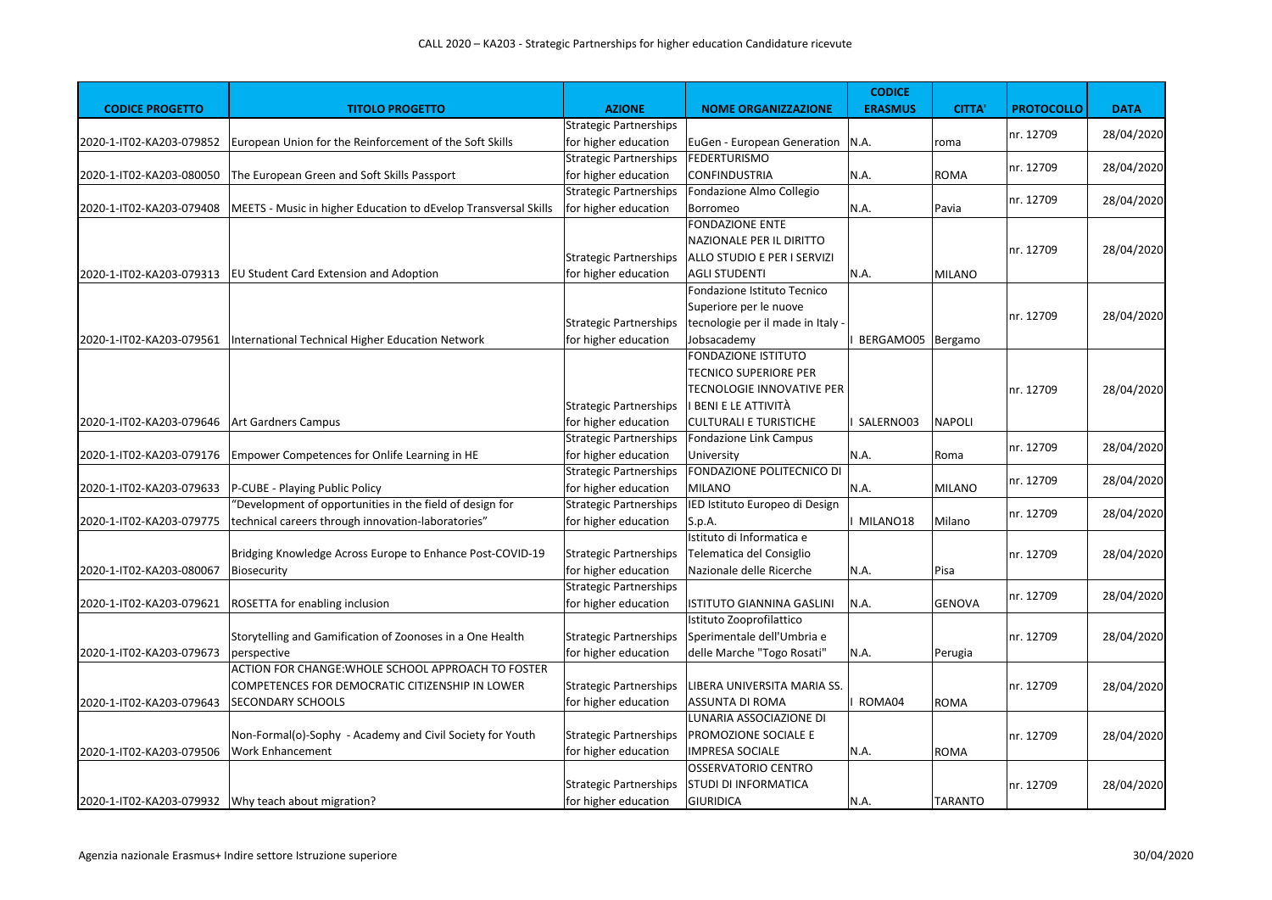|                                                |                                                                            |                               |                                   | <b>CODICE</b>      |                |                   |             |
|------------------------------------------------|----------------------------------------------------------------------------|-------------------------------|-----------------------------------|--------------------|----------------|-------------------|-------------|
| <b>CODICE PROGETTO</b>                         | <b>TITOLO PROGETTO</b>                                                     | <b>AZIONE</b>                 | <b>NOME ORGANIZZAZIONE</b>        | <b>ERASMUS</b>     | <b>CITTA'</b>  | <b>PROTOCOLLO</b> | <b>DATA</b> |
|                                                |                                                                            | <b>Strategic Partnerships</b> |                                   |                    |                | nr. 12709         | 28/04/2020  |
| 2020-1-IT02-KA203-079852                       | European Union for the Reinforcement of the Soft Skills                    | for higher education          | EuGen - European Generation       | N.A.               | roma           |                   |             |
|                                                |                                                                            | Strategic Partnerships        | <b>FEDERTURISMO</b>               |                    |                | nr. 12709         | 28/04/2020  |
| 2020-1-IT02-KA203-080050                       | The European Green and Soft Skills Passport                                | for higher education          | CONFINDUSTRIA                     | N.A.               | <b>ROMA</b>    |                   |             |
|                                                |                                                                            | Strategic Partnerships        | Fondazione Almo Collegio          |                    |                | nr. 12709         | 28/04/2020  |
| 2020-1-IT02-KA203-079408                       | MEETS - Music in higher Education to dEvelop Transversal Skills            | for higher education          | Borromeo                          | N.A.               | Pavia          |                   |             |
|                                                |                                                                            |                               | <b>FONDAZIONE ENTE</b>            |                    |                |                   |             |
|                                                |                                                                            |                               | NAZIONALE PER IL DIRITTO          |                    |                | nr. 12709         | 28/04/2020  |
|                                                |                                                                            | Strategic Partnerships        | ALLO STUDIO E PER I SERVIZI       |                    |                |                   |             |
|                                                | 2020-1-IT02-KA203-079313 EU Student Card Extension and Adoption            | for higher education          | <b>AGLI STUDENTI</b>              | N.A.               | <b>MILANO</b>  |                   |             |
|                                                |                                                                            |                               | Fondazione Istituto Tecnico       |                    |                |                   |             |
|                                                |                                                                            |                               | Superiore per le nuove            |                    |                | nr. 12709         | 28/04/2020  |
|                                                |                                                                            | <b>Strategic Partnerships</b> | tecnologie per il made in Italy - |                    |                |                   |             |
|                                                | 2020-1-IT02-KA203-079561  International Technical Higher Education Network | for higher education          | Jobsacademy                       | BERGAMO05  Bergamo |                |                   |             |
|                                                |                                                                            |                               | FONDAZIONE ISTITUTO               |                    |                |                   |             |
|                                                |                                                                            |                               | <b>TECNICO SUPERIORE PER</b>      |                    |                |                   |             |
|                                                |                                                                            |                               | TECNOLOGIE INNOVATIVE PER         |                    |                | nr. 12709         | 28/04/2020  |
|                                                |                                                                            | Strategic Partnerships        | I BENI E LE ATTIVITÀ              |                    |                |                   |             |
| 2020-1-IT02-KA203-079646   Art Gardners Campus |                                                                            | for higher education          | <b>CULTURALI E TURISTICHE</b>     | SALERNO03          | <b>NAPOLI</b>  |                   |             |
|                                                |                                                                            | Strategic Partnerships        | Fondazione Link Campus            |                    |                |                   |             |
| 2020-1-IT02-KA203-079176                       | Empower Competences for Onlife Learning in HE                              | for higher education          | University                        | N.A.               | Roma           | nr. 12709         | 28/04/2020  |
|                                                |                                                                            | Strategic Partnerships        | FONDAZIONE POLITECNICO DI         |                    |                |                   |             |
|                                                | 2020-1-IT02-KA203-079633  P-CUBE - Playing Public Policy                   | for higher education          | <b>MILANO</b>                     | N.A.               | <b>MILANO</b>  | nr. 12709         | 28/04/2020  |
|                                                | "Development of opportunities in the field of design for                   | <b>Strategic Partnerships</b> | IED Istituto Europeo di Design    |                    |                |                   |             |
| 2020-1-IT02-KA203-079775                       | technical careers through innovation-laboratories"                         | for higher education          | S.p.A.                            | MILANO18           | Milano         | nr. 12709         | 28/04/2020  |
|                                                |                                                                            |                               | Istituto di Informatica e         |                    |                |                   |             |
|                                                | Bridging Knowledge Across Europe to Enhance Post-COVID-19                  | <b>Strategic Partnerships</b> | Telematica del Consiglio          |                    |                | nr. 12709         | 28/04/2020  |
| 2020-1-IT02-KA203-080067                       | Biosecurity                                                                | for higher education          | Nazionale delle Ricerche          | N.A.               | Pisa           |                   |             |
|                                                |                                                                            | <b>Strategic Partnerships</b> |                                   |                    |                |                   |             |
| 2020-1-IT02-KA203-079621                       | ROSETTA for enabling inclusion                                             | for higher education          | <b>ISTITUTO GIANNINA GASLINI</b>  | N.A.               | <b>GENOVA</b>  | nr. 12709         | 28/04/2020  |
|                                                |                                                                            |                               | Istituto Zooprofilattico          |                    |                |                   |             |
|                                                | Storytelling and Gamification of Zoonoses in a One Health                  | <b>Strategic Partnerships</b> | Sperimentale dell'Umbria e        |                    |                | nr. 12709         | 28/04/2020  |
| 2020-1-IT02-KA203-079673                       | perspective                                                                | for higher education          | delle Marche "Togo Rosati"        | N.A.               | Perugia        |                   |             |
|                                                | ACTION FOR CHANGE: WHOLE SCHOOL APPROACH TO FOSTER                         |                               |                                   |                    |                |                   |             |
|                                                | COMPETENCES FOR DEMOCRATIC CITIZENSHIP IN LOWER                            | <b>Strategic Partnerships</b> | LIBERA UNIVERSITA MARIA SS.       |                    |                | nr. 12709         | 28/04/2020  |
| 2020-1-IT02-KA203-079643                       | <b>SECONDARY SCHOOLS</b>                                                   | for higher education          | ASSUNTA DI ROMA                   | ROMA04             | <b>ROMA</b>    |                   |             |
|                                                |                                                                            |                               | LUNARIA ASSOCIAZIONE DI           |                    |                |                   |             |
|                                                | Non-Formal(o)-Sophy - Academy and Civil Society for Youth                  | Strategic Partnerships        | PROMOZIONE SOCIALE E              |                    |                | nr. 12709         | 28/04/2020  |
| 2020-1-IT02-KA203-079506                       | Work Enhancement                                                           | for higher education          | <b>IMPRESA SOCIALE</b>            | N.A.               | <b>ROMA</b>    |                   |             |
|                                                |                                                                            |                               | <b>OSSERVATORIO CENTRO</b>        |                    |                |                   |             |
|                                                |                                                                            | Strategic Partnerships        | <b>STUDI DI INFORMATICA</b>       |                    |                | nr. 12709         | 28/04/2020  |
|                                                |                                                                            |                               | GIURIDICA                         | N.A.               | <b>TARANTO</b> |                   |             |
|                                                | 2020-1-IT02-KA203-079932   Why teach about migration?                      | for higher education          |                                   |                    |                |                   |             |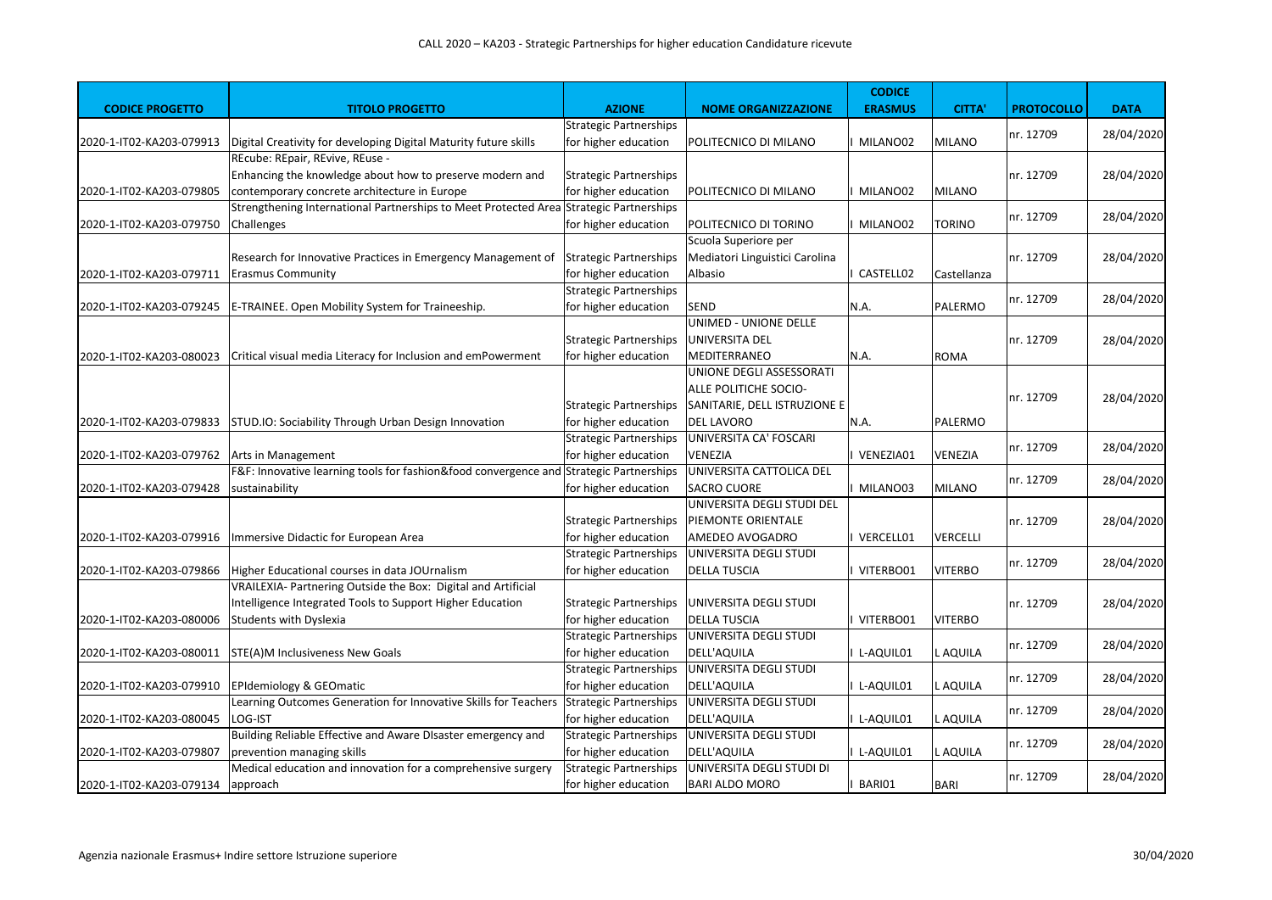|                          |                                                                                        |                               |                                | <b>CODICE</b>  |                 |                   |             |
|--------------------------|----------------------------------------------------------------------------------------|-------------------------------|--------------------------------|----------------|-----------------|-------------------|-------------|
| <b>CODICE PROGETTO</b>   | <b>TITOLO PROGETTO</b>                                                                 | <b>AZIONE</b>                 | <b>NOME ORGANIZZAZIONE</b>     | <b>ERASMUS</b> | <b>CITTA</b>    | <b>PROTOCOLLO</b> | <b>DATA</b> |
|                          |                                                                                        | <b>Strategic Partnerships</b> |                                |                |                 | nr. 12709         | 28/04/2020  |
| 2020-1-IT02-KA203-079913 | Digital Creativity for developing Digital Maturity future skills                       | for higher education          | POLITECNICO DI MILANO          | MILANO02       | <b>MILANO</b>   |                   |             |
|                          | REcube: REpair, REvive, REuse -                                                        |                               |                                |                |                 |                   |             |
|                          | Enhancing the knowledge about how to preserve modern and                               | <b>Strategic Partnerships</b> |                                |                |                 | nr. 12709         | 28/04/2020  |
| 2020-1-IT02-KA203-079805 | contemporary concrete architecture in Europe                                           | for higher education          | POLITECNICO DI MILANO          | MILANO02       | <b>MILANO</b>   |                   |             |
|                          | Strengthening International Partnerships to Meet Protected Area Strategic Partnerships |                               |                                |                |                 | nr. 12709         | 28/04/2020  |
| 2020-1-IT02-KA203-079750 | Challenges                                                                             | for higher education          | POLITECNICO DI TORINO          | MILANO02       | <b>TORINO</b>   |                   |             |
|                          |                                                                                        |                               | Scuola Superiore per           |                |                 |                   |             |
|                          | Research for Innovative Practices in Emergency Management of                           | Strategic Partnerships        | Mediatori Linguistici Carolina |                |                 | nr. 12709         | 28/04/2020  |
| 2020-1-IT02-KA203-079711 | <b>Erasmus Community</b>                                                               | for higher education          | Albasio                        | CASTELL02      | Castellanza     |                   |             |
|                          |                                                                                        | Strategic Partnerships        |                                |                |                 |                   |             |
|                          | 2020-1-IT02-KA203-079245   E-TRAINEE. Open Mobility System for Traineeship.            | for higher education          | <b>SEND</b>                    | N.A.           | PALERMO         | nr. 12709         | 28/04/2020  |
|                          |                                                                                        |                               | UNIMED - UNIONE DELLE          |                |                 |                   |             |
|                          |                                                                                        | <b>Strategic Partnerships</b> | UNIVERSITA DEL                 |                |                 | nr. 12709         | 28/04/2020  |
| 2020-1-IT02-KA203-080023 | Critical visual media Literacy for Inclusion and emPowerment                           | for higher education          | MEDITERRANEO                   | N.A.           | <b>ROMA</b>     |                   |             |
|                          |                                                                                        |                               | UNIONE DEGLI ASSESSORATI       |                |                 |                   |             |
|                          |                                                                                        |                               | ALLE POLITICHE SOCIO-          |                |                 |                   |             |
|                          |                                                                                        | <b>Strategic Partnerships</b> | SANITARIE, DELL ISTRUZIONE E   |                |                 | nr. 12709         | 28/04/2020  |
| 2020-1-IT02-KA203-079833 | STUD.IO: Sociability Through Urban Design Innovation                                   | for higher education          | <b>DEL LAVORO</b>              | N.A.           | PALERMO         |                   |             |
|                          |                                                                                        | <b>Strategic Partnerships</b> | UNIVERSITA CA' FOSCARI         |                |                 |                   |             |
| 2020-1-IT02-KA203-079762 | Arts in Management                                                                     | for higher education          | VENEZIA                        | VENEZIA01      | VENEZIA         | nr. 12709         | 28/04/2020  |
|                          | F&F: Innovative learning tools for fashion&food convergence and Strategic Partnerships |                               | UNIVERSITA CATTOLICA DEL       |                |                 |                   |             |
| 2020-1-IT02-KA203-079428 | sustainability                                                                         | for higher education          | <b>SACRO CUORE</b>             | MILANO03       | <b>MILANO</b>   | nr. 12709         | 28/04/2020  |
|                          |                                                                                        |                               | UNIVERSITA DEGLI STUDI DEL     |                |                 |                   |             |
|                          |                                                                                        | <b>Strategic Partnerships</b> | PIEMONTE ORIENTALE             |                |                 | nr. 12709         | 28/04/2020  |
| 2020-1-IT02-KA203-079916 | Immersive Didactic for European Area                                                   | for higher education          | AMEDEO AVOGADRO                | VERCELL01      | <b>VERCELLI</b> |                   |             |
|                          |                                                                                        | Strategic Partnerships        | UNIVERSITA DEGLI STUDI         |                |                 |                   |             |
| 2020-1-IT02-KA203-079866 | Higher Educational courses in data JOUrnalism                                          | for higher education          | <b>DELLA TUSCIA</b>            | VITERBO01      | <b>VITERBO</b>  | nr. 12709         | 28/04/2020  |
|                          | VRAILEXIA- Partnering Outside the Box: Digital and Artificial                          |                               |                                |                |                 |                   |             |
|                          | Intelligence Integrated Tools to Support Higher Education                              | <b>Strategic Partnerships</b> | UNIVERSITA DEGLI STUDI         |                |                 | nr. 12709         | 28/04/2020  |
| 2020-1-IT02-KA203-080006 | Students with Dyslexia                                                                 | for higher education          | <b>DELLA TUSCIA</b>            | VITERBO01      | <b>VITERBO</b>  |                   |             |
|                          |                                                                                        | Strategic Partnerships        | UNIVERSITA DEGLI STUDI         |                |                 |                   |             |
| 2020-1-IT02-KA203-080011 | STE(A)M Inclusiveness New Goals                                                        | for higher education          | <b>DELL'AQUILA</b>             | L-AQUIL01      | L AQUILA        | nr. 12709         | 28/04/2020  |
|                          |                                                                                        | Strategic Partnerships        | UNIVERSITA DEGLI STUDI         |                |                 |                   |             |
| 2020-1-IT02-KA203-079910 | <b>EPIdemiology &amp; GEOmatic</b>                                                     | for higher education          | <b>DELL'AQUILA</b>             | L-AQUIL01      | L AQUILA        | nr. 12709         | 28/04/2020  |
|                          | Learning Outcomes Generation for Innovative Skills for Teachers                        | Strategic Partnerships        | UNIVERSITA DEGLI STUDI         |                |                 |                   |             |
| 2020-1-IT02-KA203-080045 | LOG-IST                                                                                | for higher education          | <b>DELL'AQUILA</b>             |                |                 | nr. 12709         | 28/04/2020  |
|                          | Building Reliable Effective and Aware DIsaster emergency and                           | Strategic Partnerships        | UNIVERSITA DEGLI STUDI         | L-AQUIL01      | L AQUILA        |                   |             |
|                          |                                                                                        | for higher education          | <b>DELL'AQUILA</b>             | L-AQUIL01      |                 | nr. 12709         | 28/04/2020  |
| 2020-1-IT02-KA203-079807 | prevention managing skills                                                             |                               |                                |                | l aquila        |                   |             |
|                          | Medical education and innovation for a comprehensive surgery                           | <b>Strategic Partnerships</b> | UNIVERSITA DEGLI STUDI DI      |                |                 | nr. 12709         | 28/04/2020  |
| 2020-1-IT02-KA203-079134 | approach                                                                               | for higher education          | <b>BARI ALDO MORO</b>          | BARI01         | <b>BARI</b>     |                   |             |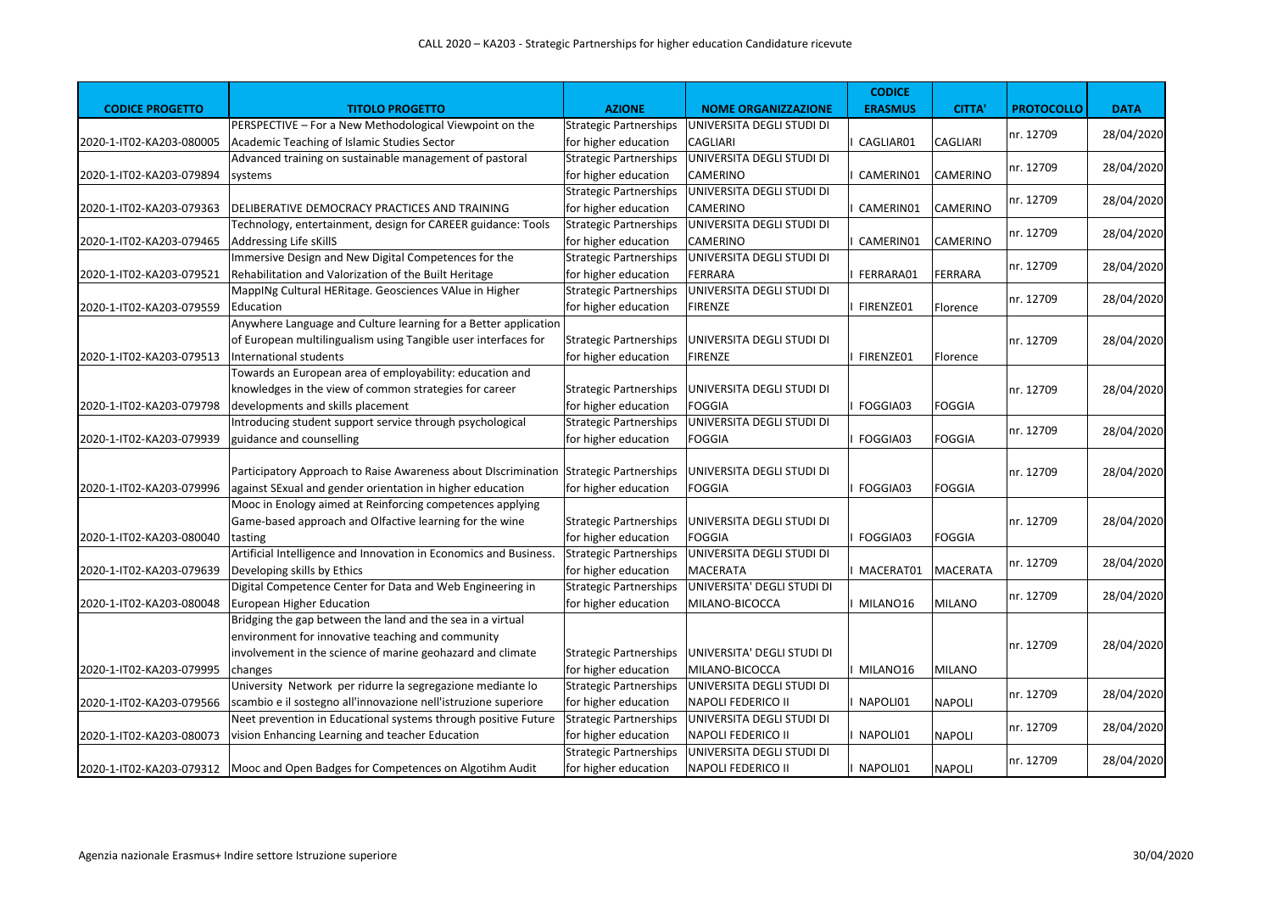|                          |                                                                                   |                               |                            | <b>CODICE</b>  |                 |                   |             |
|--------------------------|-----------------------------------------------------------------------------------|-------------------------------|----------------------------|----------------|-----------------|-------------------|-------------|
| <b>CODICE PROGETTO</b>   | <b>TITOLO PROGETTO</b>                                                            | <b>AZIONE</b>                 | <b>NOME ORGANIZZAZIONE</b> | <b>ERASMUS</b> | <b>CITTA</b>    | <b>PROTOCOLLO</b> | <b>DATA</b> |
|                          | PERSPECTIVE - For a New Methodological Viewpoint on the                           | <b>Strategic Partnerships</b> | UNIVERSITA DEGLI STUDI DI  |                |                 | nr. 12709         | 28/04/2020  |
| 2020-1-IT02-KA203-080005 | Academic Teaching of Islamic Studies Sector                                       | for higher education          | <b>CAGLIARI</b>            | CAGLIAR01      | <b>CAGLIARI</b> |                   |             |
|                          | Advanced training on sustainable management of pastoral                           | <b>Strategic Partnerships</b> | UNIVERSITA DEGLI STUDI DI  |                |                 |                   |             |
| 2020-1-IT02-KA203-079894 | systems                                                                           | for higher education          | <b>CAMERINO</b>            | CAMERIN01      | <b>CAMERINO</b> | nr. 12709         | 28/04/2020  |
|                          |                                                                                   | <b>Strategic Partnerships</b> | UNIVERSITA DEGLI STUDI DI  |                |                 | nr. 12709         | 28/04/2020  |
| 2020-1-IT02-KA203-079363 | DELIBERATIVE DEMOCRACY PRACTICES AND TRAINING                                     | for higher education          | <b>CAMERINO</b>            | CAMERIN01      | <b>CAMERINO</b> |                   |             |
|                          | Technology, entertainment, design for CAREER guidance: Tools                      | <b>Strategic Partnerships</b> | UNIVERSITA DEGLI STUDI DI  |                |                 | nr. 12709         | 28/04/2020  |
| 2020-1-IT02-KA203-079465 | Addressing Life sKillS                                                            | for higher education          | <b>CAMERINO</b>            | CAMERIN01      | <b>CAMERINO</b> |                   |             |
|                          | Immersive Design and New Digital Competences for the                              | <b>Strategic Partnerships</b> | UNIVERSITA DEGLI STUDI DI  |                |                 | nr. 12709         |             |
| 2020-1-IT02-KA203-079521 | Rehabilitation and Valorization of the Built Heritage                             | for higher education          | <b>FERRARA</b>             | FERRARA01      | FERRARA         |                   | 28/04/2020  |
|                          | MappINg Cultural HERitage. Geosciences VAlue in Higher                            | <b>Strategic Partnerships</b> | UNIVERSITA DEGLI STUDI DI  |                |                 |                   |             |
| 2020-1-IT02-KA203-079559 | Education                                                                         | for higher education          | <b>FIRENZE</b>             | FIRENZE01      | Florence        | nr. 12709         | 28/04/2020  |
|                          | Anywhere Language and Culture learning for a Better application                   |                               |                            |                |                 |                   |             |
|                          | of European multilingualism using Tangible user interfaces for                    | <b>Strategic Partnerships</b> | UNIVERSITA DEGLI STUDI DI  |                |                 | nr. 12709         | 28/04/2020  |
| 2020-1-IT02-KA203-079513 | <b>International students</b>                                                     | for higher education          | <b>FIRENZE</b>             | FIRENZE01      | Florence        |                   |             |
|                          | Towards an European area of employability: education and                          |                               |                            |                |                 |                   |             |
|                          | knowledges in the view of common strategies for career                            | <b>Strategic Partnerships</b> | UNIVERSITA DEGLI STUDI DI  |                |                 | nr. 12709         | 28/04/2020  |
| 2020-1-IT02-KA203-079798 | developments and skills placement                                                 | for higher education          | <b>FOGGIA</b>              | FOGGIA03       | <b>FOGGIA</b>   |                   |             |
|                          | Introducing student support service through psychological                         | <b>Strategic Partnerships</b> | UNIVERSITA DEGLI STUDI DI  |                |                 |                   |             |
| 2020-1-IT02-KA203-079939 | guidance and counselling                                                          | for higher education          | <b>FOGGIA</b>              | FOGGIA03       | <b>FOGGIA</b>   | nr. 12709         | 28/04/2020  |
|                          |                                                                                   |                               |                            |                |                 |                   |             |
|                          | Participatory Approach to Raise Awareness about DIscrimination                    | Strategic Partnerships        | UNIVERSITA DEGLI STUDI DI  |                |                 | nr. 12709         | 28/04/2020  |
| 2020-1-IT02-KA203-079996 | against SExual and gender orientation in higher education                         | for higher education          | <b>FOGGIA</b>              | FOGGIA03       | <b>FOGGIA</b>   |                   |             |
|                          | Mooc in Enology aimed at Reinforcing competences applying                         |                               |                            |                |                 |                   |             |
|                          | Game-based approach and Olfactive learning for the wine                           | <b>Strategic Partnerships</b> | UNIVERSITA DEGLI STUDI DI  |                |                 | nr. 12709         | 28/04/2020  |
| 2020-1-IT02-KA203-080040 | tasting                                                                           | for higher education          | <b>FOGGIA</b>              | FOGGIA03       | <b>FOGGIA</b>   |                   |             |
|                          | Artificial Intelligence and Innovation in Economics and Business.                 | <b>Strategic Partnerships</b> | UNIVERSITA DEGLI STUDI DI  |                |                 |                   |             |
| 2020-1-IT02-KA203-079639 | Developing skills by Ethics                                                       | for higher education          | <b>MACERATA</b>            | MACERAT01      | <b>MACERATA</b> | nr. 12709         | 28/04/2020  |
|                          | Digital Competence Center for Data and Web Engineering in                         | <b>Strategic Partnerships</b> | UNIVERSITA' DEGLI STUDI DI |                |                 |                   |             |
| 2020-1-IT02-KA203-080048 | <b>European Higher Education</b>                                                  | for higher education          | MILANO-BICOCCA             | MILANO16       | <b>MILANO</b>   | nr. 12709         | 28/04/2020  |
|                          | Bridging the gap between the land and the sea in a virtual                        |                               |                            |                |                 |                   |             |
|                          | environment for innovative teaching and community                                 |                               |                            |                |                 |                   |             |
|                          | involvement in the science of marine geohazard and climate                        | <b>Strategic Partnerships</b> | UNIVERSITA' DEGLI STUDI DI |                |                 | nr. 12709         | 28/04/2020  |
| 2020-1-IT02-KA203-079995 | changes                                                                           | for higher education          | MILANO-BICOCCA             | MILANO16       | <b>MILANO</b>   |                   |             |
|                          | University Network per ridurre la segregazione mediante lo                        | <b>Strategic Partnerships</b> | UNIVERSITA DEGLI STUDI DI  |                |                 |                   |             |
| 2020-1-IT02-KA203-079566 | scambio e il sostegno all'innovazione nell'istruzione superiore                   | for higher education          | <b>NAPOLI FEDERICO II</b>  | NAPOLI01       | <b>NAPOLI</b>   | nr. 12709         | 28/04/2020  |
|                          | Neet prevention in Educational systems through positive Future                    | <b>Strategic Partnerships</b> | UNIVERSITA DEGLI STUDI DI  |                |                 |                   |             |
| 2020-1-IT02-KA203-080073 | vision Enhancing Learning and teacher Education                                   | for higher education          | <b>NAPOLI FEDERICO II</b>  | NAPOLI01       | <b>NAPOLI</b>   | nr. 12709         | 28/04/2020  |
|                          |                                                                                   | <b>Strategic Partnerships</b> | UNIVERSITA DEGLI STUDI DI  |                |                 |                   |             |
|                          | 2020-1-IT02-KA203-079312   Mooc and Open Badges for Competences on Algotihm Audit | for higher education          | <b>NAPOLI FEDERICO II</b>  | I NAPOLI01     | <b>NAPOLI</b>   | nr. 12709         | 28/04/2020  |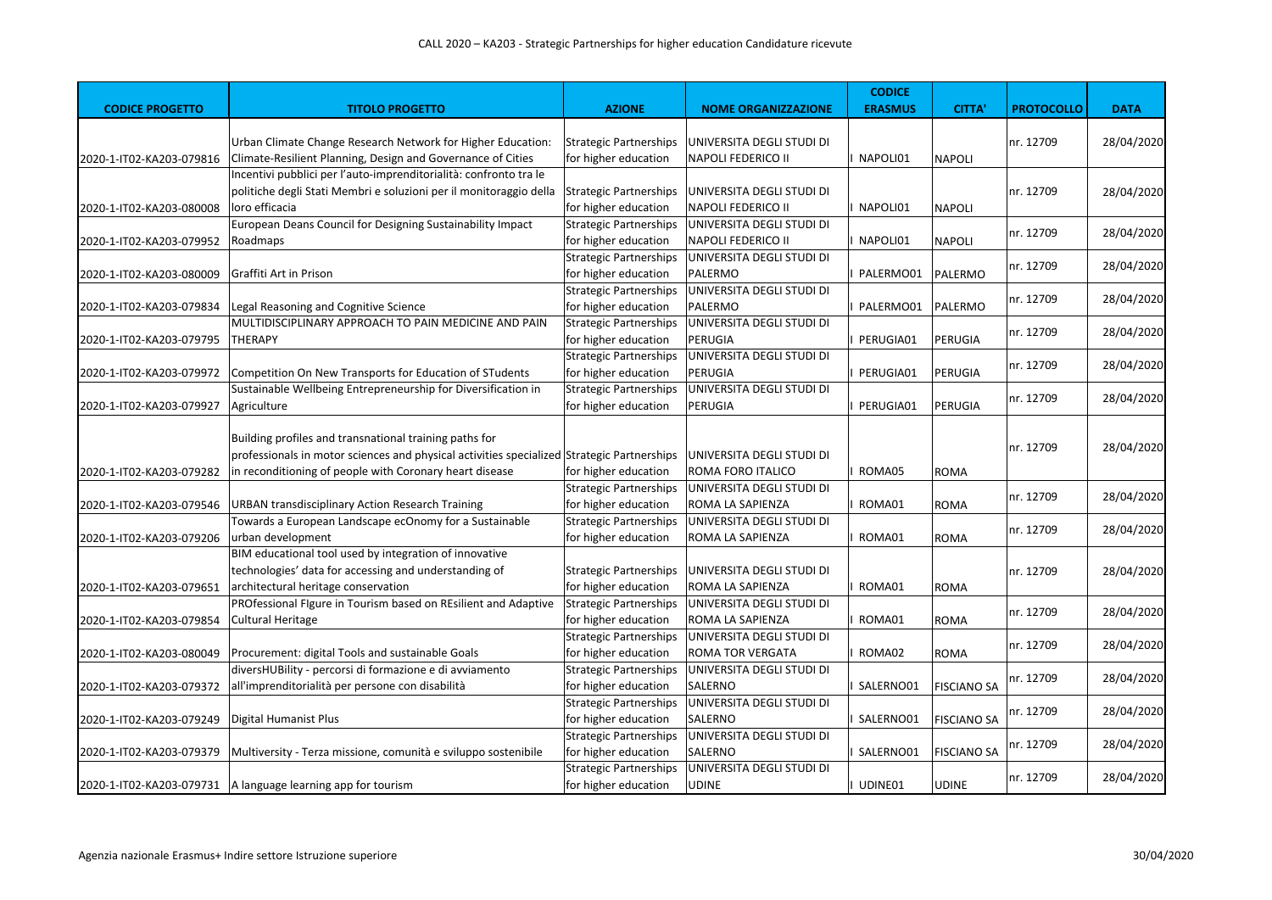|                          |                                                                                            |                               |                            | <b>CODICE</b>  |                    |                   |             |
|--------------------------|--------------------------------------------------------------------------------------------|-------------------------------|----------------------------|----------------|--------------------|-------------------|-------------|
| <b>CODICE PROGETTO</b>   | <b>TITOLO PROGETTO</b>                                                                     | <b>AZIONE</b>                 | <b>NOME ORGANIZZAZIONE</b> | <b>ERASMUS</b> | <b>CITTA'</b>      | <b>PROTOCOLLO</b> | <b>DATA</b> |
|                          |                                                                                            |                               |                            |                |                    |                   |             |
|                          | Urban Climate Change Research Network for Higher Education:                                | <b>Strategic Partnerships</b> | UNIVERSITA DEGLI STUDI DI  |                |                    | nr. 12709         | 28/04/2020  |
| 2020-1-IT02-KA203-079816 | Climate-Resilient Planning, Design and Governance of Cities                                | for higher education          | <b>NAPOLI FEDERICO II</b>  | NAPOLI01       | <b>NAPOLI</b>      |                   |             |
|                          | Incentivi pubblici per l'auto-imprenditorialità: confronto tra le                          |                               |                            |                |                    |                   |             |
|                          | politiche degli Stati Membri e soluzioni per il monitoraggio della                         | <b>Strategic Partnerships</b> | UNIVERSITA DEGLI STUDI DI  |                |                    | nr. 12709         | 28/04/2020  |
| 2020-1-IT02-KA203-080008 | loro efficacia                                                                             | for higher education          | <b>NAPOLI FEDERICO II</b>  | NAPOLI01       | <b>NAPOLI</b>      |                   |             |
|                          | European Deans Council for Designing Sustainability Impact                                 | <b>Strategic Partnerships</b> | UNIVERSITA DEGLI STUDI DI  |                |                    | nr. 12709         | 28/04/2020  |
| 2020-1-IT02-KA203-079952 | Roadmaps                                                                                   | for higher education          | <b>NAPOLI FEDERICO II</b>  | NAPOLI01       | <b>NAPOLI</b>      |                   |             |
|                          |                                                                                            | <b>Strategic Partnerships</b> | UNIVERSITA DEGLI STUDI DI  |                |                    | nr. 12709         | 28/04/2020  |
| 2020-1-IT02-KA203-080009 | Graffiti Art in Prison                                                                     | for higher education          | PALERMO                    | PALERMO01      | PALERMO            |                   |             |
|                          |                                                                                            | <b>Strategic Partnerships</b> | UNIVERSITA DEGLI STUDI DI  |                |                    | nr. 12709         | 28/04/2020  |
| 2020-1-IT02-KA203-079834 | Legal Reasoning and Cognitive Science                                                      | for higher education          | PALERMO                    | PALERMO01      | PALERMO            |                   |             |
|                          | MULTIDISCIPLINARY APPROACH TO PAIN MEDICINE AND PAIN                                       | <b>Strategic Partnerships</b> | UNIVERSITA DEGLI STUDI DI  |                |                    | nr. 12709         | 28/04/2020  |
| 2020-1-IT02-KA203-079795 | <b>THERAPY</b>                                                                             | for higher education          | PERUGIA                    | PERUGIA01      | <b>PERUGIA</b>     |                   |             |
|                          |                                                                                            | <b>Strategic Partnerships</b> | UNIVERSITA DEGLI STUDI DI  |                |                    | nr. 12709         | 28/04/2020  |
| 2020-1-IT02-KA203-079972 | Competition On New Transports for Education of STudents                                    | for higher education          | PERUGIA                    | PERUGIA01      | <b>PERUGIA</b>     |                   |             |
|                          | Sustainable Wellbeing Entrepreneurship for Diversification in                              | <b>Strategic Partnerships</b> | UNIVERSITA DEGLI STUDI DI  |                |                    | nr. 12709         | 28/04/2020  |
| 2020-1-IT02-KA203-079927 | Agriculture                                                                                | for higher education          | PERUGIA                    | PERUGIA01      | <b>PERUGIA</b>     |                   |             |
|                          |                                                                                            |                               |                            |                |                    |                   |             |
|                          | Building profiles and transnational training paths for                                     |                               |                            |                |                    | nr. 12709         | 28/04/2020  |
|                          | professionals in motor sciences and physical activities specialized Strategic Partnerships |                               | UNIVERSITA DEGLI STUDI DI  |                |                    |                   |             |
| 2020-1-IT02-KA203-079282 | in reconditioning of people with Coronary heart disease                                    | for higher education          | ROMA FORO ITALICO          | ROMA05         | <b>ROMA</b>        |                   |             |
|                          |                                                                                            | <b>Strategic Partnerships</b> | UNIVERSITA DEGLI STUDI DI  |                |                    | nr. 12709         | 28/04/2020  |
| 2020-1-IT02-KA203-079546 | <b>URBAN transdisciplinary Action Research Training</b>                                    | for higher education          | ROMA LA SAPIENZA           | ROMA01         | <b>ROMA</b>        |                   |             |
|                          | Towards a European Landscape ecOnomy for a Sustainable                                     | <b>Strategic Partnerships</b> | UNIVERSITA DEGLI STUDI DI  |                |                    | nr. 12709         | 28/04/2020  |
| 2020-1-IT02-KA203-079206 | urban development                                                                          | for higher education          | ROMA LA SAPIENZA           | ROMA01         | <b>ROMA</b>        |                   |             |
|                          | BIM educational tool used by integration of innovative                                     |                               |                            |                |                    |                   |             |
|                          | technologies' data for accessing and understanding of                                      | <b>Strategic Partnerships</b> | UNIVERSITA DEGLI STUDI DI  |                |                    | nr. 12709         | 28/04/2020  |
| 2020-1-IT02-KA203-079651 | architectural heritage conservation                                                        | for higher education          | ROMA LA SAPIENZA           | ROMA01         | <b>ROMA</b>        |                   |             |
|                          | PROfessional Figure in Tourism based on REsilient and Adaptive                             | <b>Strategic Partnerships</b> | UNIVERSITA DEGLI STUDI DI  |                |                    |                   | 28/04/2020  |
| 2020-1-IT02-KA203-079854 | <b>Cultural Heritage</b>                                                                   | for higher education          | ROMA LA SAPIENZA           | ROMA01         | <b>ROMA</b>        | nr. 12709         |             |
|                          |                                                                                            | <b>Strategic Partnerships</b> | UNIVERSITA DEGLI STUDI DI  |                |                    | nr. 12709         |             |
| 2020-1-IT02-KA203-080049 | Procurement: digital Tools and sustainable Goals                                           | for higher education          | ROMA TOR VERGATA           | ROMA02         | <b>ROMA</b>        |                   | 28/04/2020  |
|                          | diversHUBility - percorsi di formazione e di avviamento                                    | <b>Strategic Partnerships</b> | UNIVERSITA DEGLI STUDI DI  |                |                    |                   |             |
| 2020-1-IT02-KA203-079372 | all'imprenditorialità per persone con disabilità                                           | for higher education          | SALERNO                    | SALERNO01      | <b>FISCIANO SA</b> | nr. 12709         | 28/04/2020  |
|                          |                                                                                            | <b>Strategic Partnerships</b> | UNIVERSITA DEGLI STUDI DI  |                |                    |                   |             |
| 2020-1-IT02-KA203-079249 | Digital Humanist Plus                                                                      | for higher education          | SALERNO                    | SALERNO01      | <b>FISCIANO SA</b> | nr. 12709         | 28/04/2020  |
|                          |                                                                                            | <b>Strategic Partnerships</b> | UNIVERSITA DEGLI STUDI DI  |                |                    |                   |             |
| 2020-1-IT02-KA203-079379 | Multiversity - Terza missione, comunità e sviluppo sostenibile                             | for higher education          | SALERNO                    | SALERNO01      | <b>FISCIANO SA</b> | nr. 12709         | 28/04/2020  |
|                          |                                                                                            | Strategic Partnerships        | UNIVERSITA DEGLI STUDI DI  |                |                    |                   |             |
|                          | 2020-1-IT02-KA203-079731   A language learning app for tourism                             | for higher education          | <b>UDINE</b>               | I UDINE01      | <b>UDINE</b>       | nr. 12709         | 28/04/2020  |